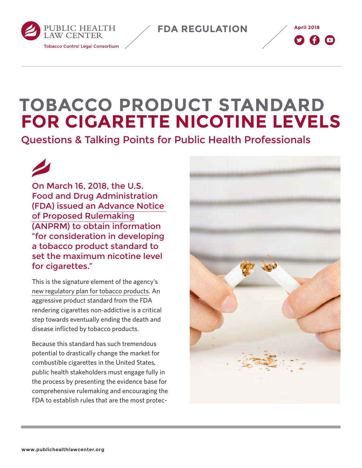**April 2018 FDA REGULATION**





# **TOBACCO PRODUCT STANDARD FOR CIGARETTE NICOTINE LEVELS**

Questions & Talking Points for Public Health Professionals

On March 16, 2018, the U.S. Food and Drug Administration (FDA) issued an [Advance Notice](https://www.federalregister.gov/documents/2018/03/16/2018-05345/tobacco-product-standard-for-nicotine-level-of-combusted-cigarettes)  [of Proposed Rulemaking](https://www.federalregister.gov/documents/2018/03/16/2018-05345/tobacco-product-standard-for-nicotine-level-of-combusted-cigarettes) (ANPRM) to obtain information "for consideration in developing a tobacco product standard to set the maximum nicotine level for cigarettes."

This is the signature element of the agency's [new regulatory plan for tobacco products.](http://www.publichealthlawcenter.org/topics/tobacco-control/fda-tobacco-action-center/fda%E2%80%99s-new-regulatory-plan) An aggressive product standard from the FDA rendering cigarettes non-addictive is a critical step towards eventually ending the death and disease inflicted by tobacco products.

Because this standard has such tremendous potential to drastically change the market for combustible cigarettes in the United States, public health stakeholders must engage fully in the process by presenting the evidence base for comprehensive rulemaking and encouraging the FDA to establish rules that are the most protec-

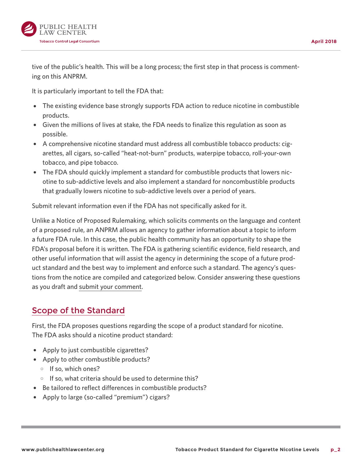

tive of the public's health. This will be a long process; the first step in that process is commenting on this ANPRM.

It is particularly important to tell the FDA that:

- The existing evidence base strongly supports FDA action to reduce nicotine in combustible products.
- Given the millions of lives at stake, the FDA needs to finalize this regulation as soon as possible.
- A comprehensive nicotine standard must address all combustible tobacco products: cigarettes, all cigars, so-called "heat-not-burn" products, waterpipe tobacco, roll-your-own tobacco, and pipe tobacco.
- The FDA should quickly implement a standard for combustible products that lowers nicotine to sub-addictive levels and also implement a standard for noncombustible products that gradually lowers nicotine to sub-addictive levels over a period of years.

Submit relevant information even if the FDA has not specifically asked for it.

Unlike a Notice of Proposed Rulemaking, which solicits comments on the language and content of a proposed rule, an ANPRM allows an agency to gather information about a topic to inform a future FDA rule. In this case, the public health community has an opportunity to shape the FDA's proposal before it is written. The FDA is gathering scientific evidence, field research, and other useful information that will assist the agency in determining the scope of a future product standard and the best way to implement and enforce such a standard. The agency's questions from the notice are compiled and categorized below. Consider answering these questions as you draft and [submit your comment.](https://www.regulations.gov/docket?D=FDA-2017-N-6189)

#### [Scope of the Standard](https://www.federalregister.gov/d/2018-05345/p-90)

First, the FDA proposes questions regarding the scope of a product standard for nicotine. The FDA asks should a nicotine product standard:

- Apply to just combustible cigarettes?
- Apply to other combustible products?
	- $\circ$  If so, which ones?
	- $\circ$  If so, what criteria should be used to determine this?
- Be tailored to reflect differences in combustible products?
- Apply to large (so-called "premium") cigars?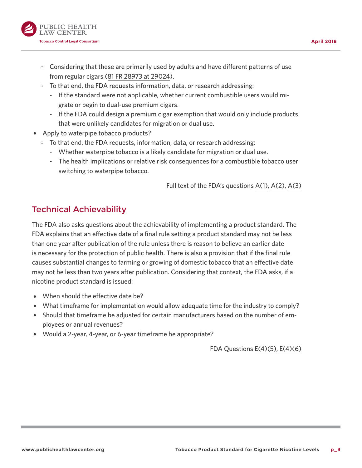

- $\circ$  Considering that these are primarily used by adults and have different patterns of use from regular cigars [\(81 FR 28973 at 29024](https://www.federalregister.gov/d/2016-10685/p-584)).
- $\circ$  To that end, the FDA requests information, data, or research addressing:
	- If the standard were not applicable, whether current combustible users would migrate or begin to dual-use premium cigars.
	- If the FDA could design a premium cigar exemption that would only include products that were unlikely candidates for migration or dual use.
- Apply to waterpipe tobacco products?
	- $\circ$  To that end, the FDA requests, information, data, or research addressing:
		- Whether waterpipe tobacco is a likely candidate for migration or dual use.
		- The health implications or relative risk consequences for a combustible tobacco user switching to waterpipe tobacco.

Full text of the FDA's questions [A\(1\)](https://www.federalregister.gov/d/2018-05345/p-101), [A\(2\),](https://www.federalregister.gov/d/2018-05345/p-102) [A\(3\)](https://www.federalregister.gov/d/2018-05345/p-103)

### [Technical Achievability](https://www.federalregister.gov/d/2018-05345/p-148)

The FDA also asks questions about the achievability of implementing a product standard. The FDA explains that an effective date of a final rule setting a product standard may not be less than one year after publication of the rule unless there is reason to believe an earlier date is necessary for the protection of public health. There is also a provision that if the final rule causes substantial changes to farming or growing of domestic tobacco that an effective date may not be less than two years after publication. Considering that context, the FDA asks, if a nicotine product standard is issued:

- When should the effective date be?
- What timeframe for implementation would allow adequate time for the industry to comply?
- Should that timeframe be adjusted for certain manufacturers based on the number of employees or annual revenues?
- Would a 2-year, 4-year, or 6-year timeframe be appropriate?

FDA Questions [E\(4\)\(5\),](https://www.federalregister.gov/d/2018-05345/p-169) [E\(4\)\(6\)](https://www.federalregister.gov/d/2018-05345/p-171)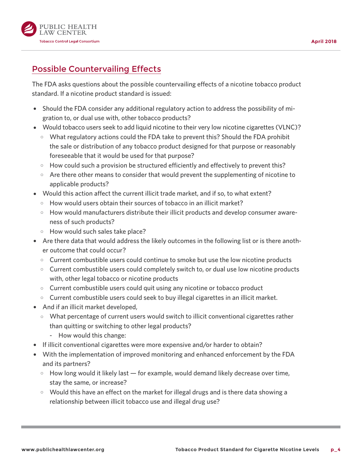

## [Possible Countervailing Effects](https://www.federalregister.gov/d/2018-05345/p-173)

The FDA asks questions about the possible countervailing effects of a nicotine tobacco product standard. If a nicotine product standard is issued:

- Should the FDA consider any additional regulatory action to address the possibility of migration to, or dual use with, other tobacco products?
- Would tobacco users seek to add liquid nicotine to their very low nicotine cigarettes (VLNC)?
	- $\circ$  What regulatory actions could the FDA take to prevent this? Should the FDA prohibit the sale or distribution of any tobacco product designed for that purpose or reasonably foreseeable that it would be used for that purpose?
	- $\circ$  How could such a provision be structured efficiently and effectively to prevent this?
	- $\circ$  Are there other means to consider that would prevent the supplementing of nicotine to applicable products?
- Would this action affect the current illicit trade market, and if so, to what extent?
	- $\circ$  How would users obtain their sources of tobacco in an illicit market?
	- $\circ$  How would manufacturers distribute their illicit products and develop consumer awareness of such products?
	- $\circ$  How would such sales take place?
- Are there data that would address the likely outcomes in the following list or is there another outcome that could occur?
	- $\circ$  Current combustible users could continue to smoke but use the low nicotine products
	- $\circ$  Current combustible users could completely switch to, or dual use low nicotine products with, other legal tobacco or nicotine products
	- $\circ$  Current combustible users could quit using any nicotine or tobacco product
	- $\circ$  Current combustible users could seek to buy illegal cigarettes in an illicit market.
- And if an illicit market developed,
	- $\circ$  What percentage of current users would switch to illicit conventional cigarettes rather than quitting or switching to other legal products?
		- How would this change:
- If illicit conventional cigarettes were more expensive and/or harder to obtain?
- With the implementation of improved monitoring and enhanced enforcement by the FDA and its partners?
	- $\circ$  How long would it likely last  $-$  for example, would demand likely decrease over time, stay the same, or increase?
	- $\circ$  Would this have an effect on the market for illegal drugs and is there data showing a relationship between illicit tobacco use and illegal drug use?